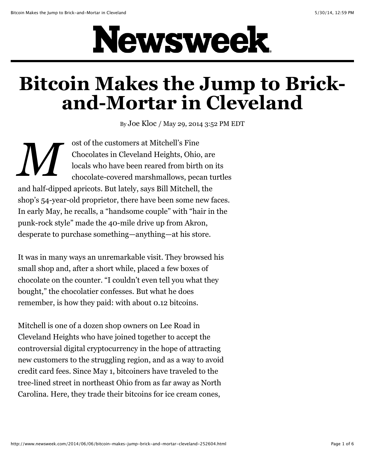## Newsweek.

## **Bitcoin Makes the Jump to Brickand-Mortar in Cleveland**

By [Joe Kloc](http://www.newsweek.com/authors/joe-kloc) / May 29, 2014 3:52 PM EDT

*M* ost of the customers at Mitchell's Fine Chocolates in Cleveland Heights, Ohio, are locals who have been reared from birth on its chocolate-covered marshmallows, pecan turtles and half-dipped apricots. But lately, says Bill Mitchell, the shop's 54-year-old proprietor, there have been some new faces. In early May, he recalls, a "handsome couple" with "hair in the punk-rock style" made the 40-mile drive up from Akron, desperate to purchase something—anything—at his store.

It was in many ways an unremarkable visit. They browsed his small shop and, after a short while, placed a few boxes of chocolate on the counter. "I couldn't even tell you what they bought," the chocolatier confesses. But what he does remember, is how they paid: with about 0.12 bitcoins.

Mitchell is one of a dozen shop owners on Lee Road in Cleveland Heights who have joined together to accept the controversial digital cryptocurrency in the hope of attracting new customers to the struggling region, and as a way to avoid credit card fees. Since May 1, bitcoiners have traveled to the tree-lined street in northeast Ohio from as far away as North Carolina. Here, they trade their bitcoins for ice cream cones,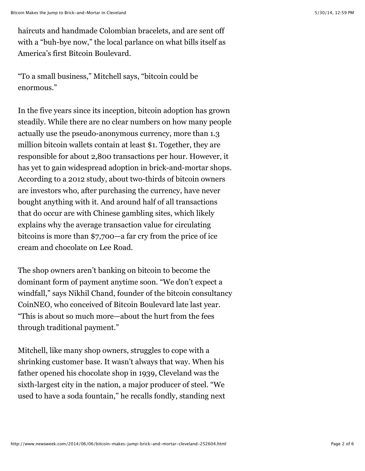haircuts and handmade Colombian bracelets, and are sent off with a "buh-bye now," the local parlance on what bills itself as America's first Bitcoin Boulevard.

"To a small business," Mitchell says, "bitcoin could be enormous."

In the five years since its inception, bitcoin adoption has grown steadily. While there are no clear numbers on how many people actually use the pseudo-anonymous currency, more than 1.3 million bitcoin wallets contain at least \$1. Together, they are responsible for about 2,800 transactions per hour. However, it has yet to gain widespread adoption in brick-and-mortar shops. According to a 2012 study, about two-thirds of bitcoin owners are investors who, after purchasing the currency, have never bought anything with it. And around half of all transactions that do occur are with Chinese gambling sites, which likely explains why the average transaction value for circulating bitcoins is more than \$7,700—a far cry from the price of ice cream and chocolate on Lee Road.

The shop owners aren't banking on bitcoin to become the dominant form of payment anytime soon. "We don't expect a windfall," says Nikhil Chand, founder of the bitcoin consultancy CoinNEO, who conceived of Bitcoin Boulevard late last year. "This is about so much more—about the hurt from the fees through traditional payment."

Mitchell, like many shop owners, struggles to cope with a shrinking customer base. It wasn't always that way. When his father opened his chocolate shop in 1939, Cleveland was the sixth-largest city in the nation, a major producer of steel. "We used to have a soda fountain," he recalls fondly, standing next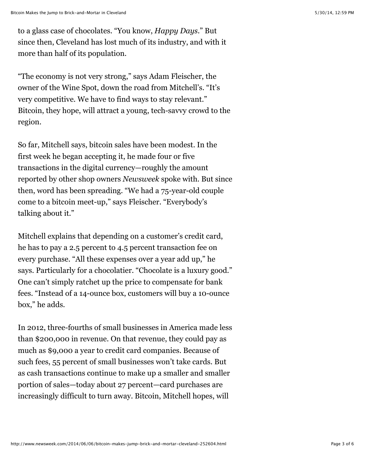to a glass case of chocolates. "You know, *Happy Days*." But since then, Cleveland has lost much of its industry, and with it more than half of its population.

"The economy is not very strong," says Adam Fleischer, the owner of the Wine Spot, down the road from Mitchell's. "It's very competitive. We have to find ways to stay relevant." Bitcoin, they hope, will attract a young, tech-savvy crowd to the region.

So far, Mitchell says, bitcoin sales have been modest. In the first week he began accepting it, he made four or five transactions in the digital currency—roughly the amount reported by other shop owners *Newsweek* spoke with. But since then, word has been spreading. "We had a 75-year-old couple come to a bitcoin meet-up," says Fleischer. "Everybody's talking about it."

Mitchell explains that depending on a customer's credit card, he has to pay a 2.5 percent to 4.5 percent transaction fee on every purchase. "All these expenses over a year add up," he says. Particularly for a chocolatier. "Chocolate is a luxury good." One can't simply ratchet up the price to compensate for bank fees. "Instead of a 14-ounce box, customers will buy a 10-ounce box," he adds.

In 2012, three-fourths of small businesses in America made less than \$200,000 in revenue. On that revenue, they could pay as much as \$9,000 a year to credit card companies. Because of such fees, 55 percent of small businesses won't take cards. But as cash transactions continue to make up a smaller and smaller portion of sales—today about 27 percent—card purchases are increasingly difficult to turn away. Bitcoin, Mitchell hopes, will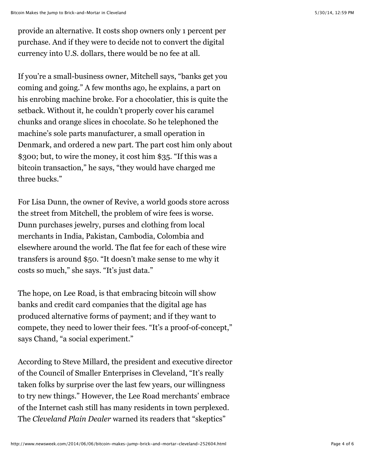provide an alternative. It costs shop owners only 1 percent per purchase. And if they were to decide not to convert the digital currency into U.S. dollars, there would be no fee at all.

If you're a small-business owner, Mitchell says, "banks get you coming and going." A few months ago, he explains, a part on his enrobing machine broke. For a chocolatier, this is quite the setback. Without it, he couldn't properly cover his caramel chunks and orange slices in chocolate. So he telephoned the machine's sole parts manufacturer, a small operation in Denmark, and ordered a new part. The part cost him only about \$300; but, to wire the money, it cost him \$35. "If this was a bitcoin transaction," he says, "they would have charged me three bucks."

For Lisa Dunn, the owner of Revive, a world goods store across the street from Mitchell, the problem of wire fees is worse. Dunn purchases jewelry, purses and clothing from local merchants in India, Pakistan, Cambodia, Colombia and elsewhere around the world. The flat fee for each of these wire transfers is around \$50. "It doesn't make sense to me why it costs so much," she says. "It's just data."

The hope, on Lee Road, is that embracing bitcoin will show banks and credit card companies that the digital age has produced alternative forms of payment; and if they want to compete, they need to lower their fees. "It's a proof-of-concept," says Chand, "a social experiment."

According to Steve Millard, the president and executive director of the Council of Smaller Enterprises in Cleveland, "It's really taken folks by surprise over the last few years, our willingness to try new things." However, the Lee Road merchants' embrace of the Internet cash still has many residents in town perplexed. The *Cleveland Plain Dealer* warned its readers that "skeptics"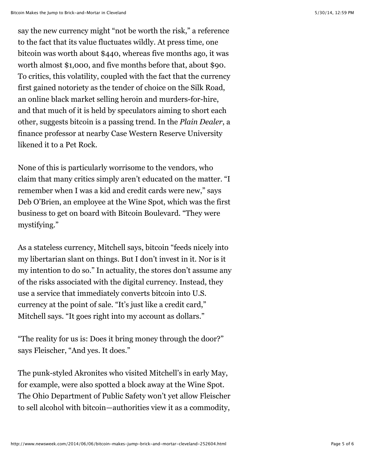say the new currency might "not be worth the risk," a reference to the fact that its value fluctuates wildly. At press time, one bitcoin was worth about \$440, whereas five months ago, it was worth almost \$1,000, and five months before that, about \$90. To critics, this volatility, coupled with the fact that the currency first gained notoriety as the tender of choice on the Silk Road, an online black market selling heroin and murders-for-hire, and that much of it is held by speculators aiming to short each other, suggests bitcoin is a passing trend. In the *Plain Dealer*, a finance professor at nearby Case Western Reserve University likened it to a Pet Rock.

None of this is particularly worrisome to the vendors, who claim that many critics simply aren't educated on the matter. "I remember when I was a kid and credit cards were new," says Deb O'Brien, an employee at the Wine Spot, which was the first business to get on board with Bitcoin Boulevard. "They were mystifying."

As a stateless currency, Mitchell says, bitcoin "feeds nicely into my libertarian slant on things. But I don't invest in it. Nor is it my intention to do so." In actuality, the stores don't assume any of the risks associated with the digital currency. Instead, they use a service that immediately converts bitcoin into U.S. currency at the point of sale. "It's just like a credit card," Mitchell says. "It goes right into my account as dollars."

"The reality for us is: Does it bring money through the door?" says Fleischer, "And yes. It does."

The punk-styled Akronites who visited Mitchell's in early May, for example, were also spotted a block away at the Wine Spot. The Ohio Department of Public Safety won't yet allow Fleischer to sell alcohol with bitcoin—authorities view it as a commodity,